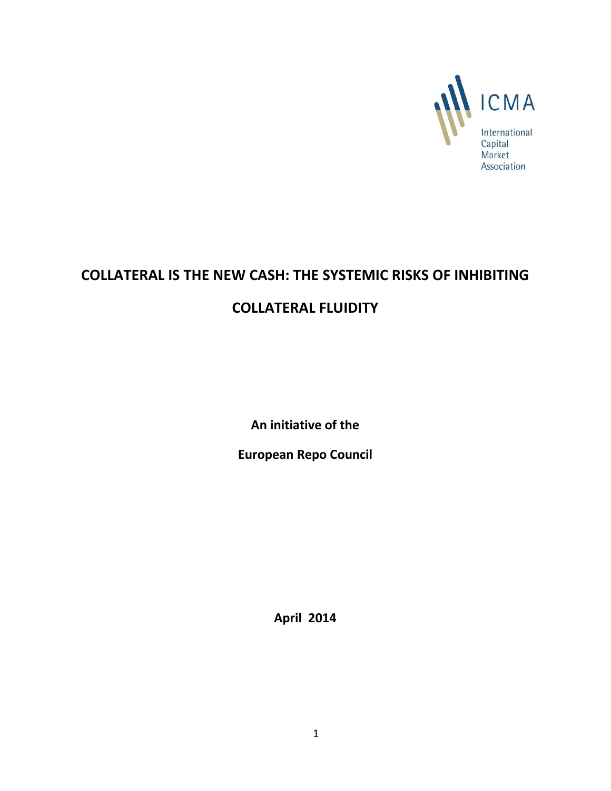

# **COLLATERAL IS THE NEW CASH: THE SYSTEMIC RISKS OF INHIBITING COLLATERAL FLUIDITY**

**An initiative of the** 

**European Repo Council**

**April 2014**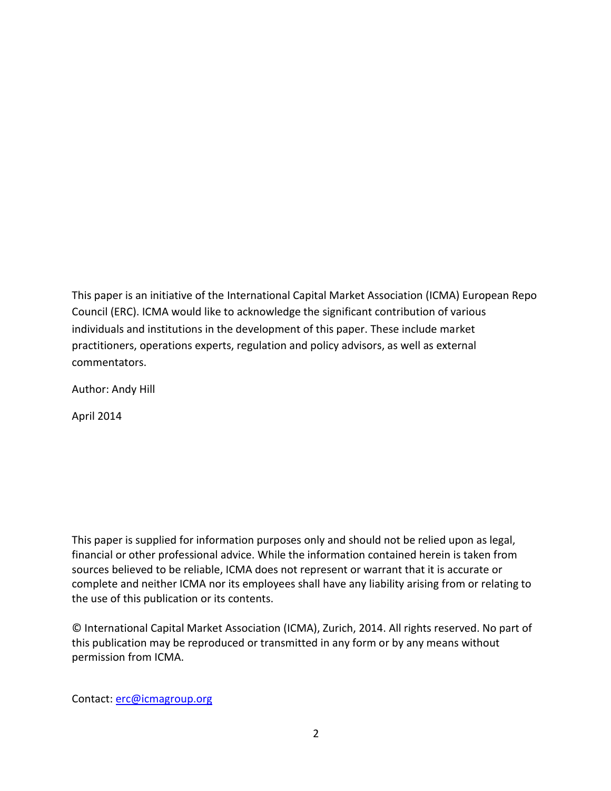This paper is an initiative of the International Capital Market Association (ICMA) European Repo Council (ERC). ICMA would like to acknowledge the significant contribution of various individuals and institutions in the development of this paper. These include market practitioners, operations experts, regulation and policy advisors, as well as external commentators.

Author: Andy Hill

April 2014

This paper is supplied for information purposes only and should not be relied upon as legal, financial or other professional advice. While the information contained herein is taken from sources believed to be reliable, ICMA does not represent or warrant that it is accurate or complete and neither ICMA nor its employees shall have any liability arising from or relating to the use of this publication or its contents.

© International Capital Market Association (ICMA), Zurich, 2014. All rights reserved. No part of this publication may be reproduced or transmitted in any form or by any means without permission from ICMA.

Contact: [erc@icmagroup.org](mailto:erc@icmagroup.org)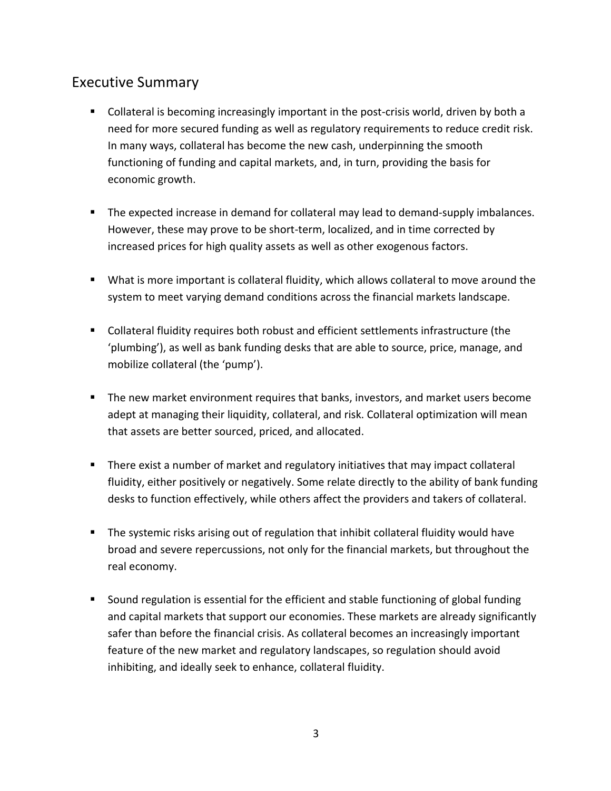### Executive Summary

- **Collateral is becoming increasingly important in the post-crisis world, driven by both a** need for more secured funding as well as regulatory requirements to reduce credit risk. In many ways, collateral has become the new cash, underpinning the smooth functioning of funding and capital markets, and, in turn, providing the basis for economic growth.
- The expected increase in demand for collateral may lead to demand-supply imbalances. However, these may prove to be short-term, localized, and in time corrected by increased prices for high quality assets as well as other exogenous factors.
- What is more important is collateral fluidity, which allows collateral to move around the system to meet varying demand conditions across the financial markets landscape.
- Collateral fluidity requires both robust and efficient settlements infrastructure (the 'plumbing'), as well as bank funding desks that are able to source, price, manage, and mobilize collateral (the 'pump').
- **The new market environment requires that banks, investors, and market users become** adept at managing their liquidity, collateral, and risk. Collateral optimization will mean that assets are better sourced, priced, and allocated.
- **There exist a number of market and regulatory initiatives that may impact collateral** fluidity, either positively or negatively. Some relate directly to the ability of bank funding desks to function effectively, while others affect the providers and takers of collateral.
- **The systemic risks arising out of regulation that inhibit collateral fluidity would have** broad and severe repercussions, not only for the financial markets, but throughout the real economy.
- Sound regulation is essential for the efficient and stable functioning of global funding and capital markets that support our economies. These markets are already significantly safer than before the financial crisis. As collateral becomes an increasingly important feature of the new market and regulatory landscapes, so regulation should avoid inhibiting, and ideally seek to enhance, collateral fluidity.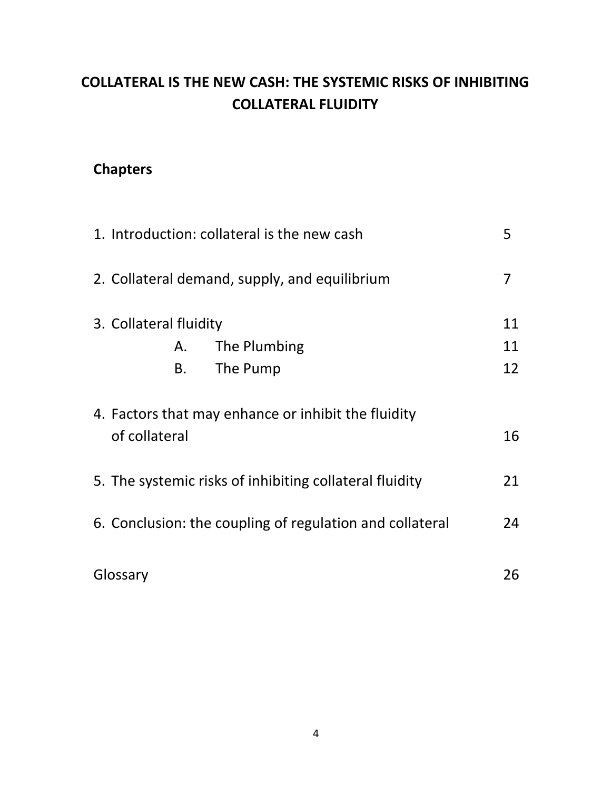## **COLLATERAL IS THE NEW CASH: THE SYSTEMIC RISKS OF INHIBITING COLLATERAL FLUIDITY**

## **Chapters**

| 1. Introduction: collateral is the new cash<br>5                     |    |  |
|----------------------------------------------------------------------|----|--|
| 2. Collateral demand, supply, and equilibrium                        |    |  |
| 3. Collateral fluidity                                               | 11 |  |
| The Plumbing<br>А.                                                   | 11 |  |
| The Pump<br>Β.                                                       | 12 |  |
| 4. Factors that may enhance or inhibit the fluidity<br>of collateral | 16 |  |
| 5. The systemic risks of inhibiting collateral fluidity              | 21 |  |
| 6. Conclusion: the coupling of regulation and collateral             |    |  |
| Glossary                                                             | 26 |  |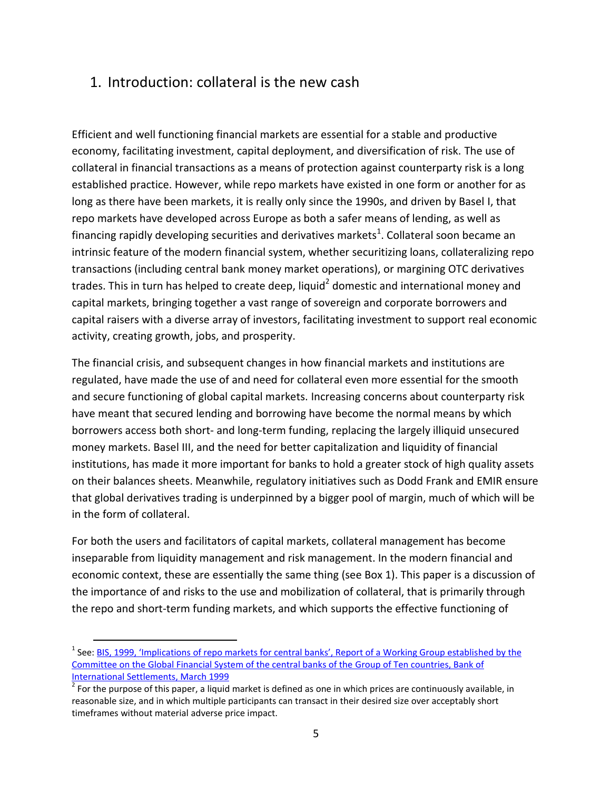### 1. Introduction: collateral is the new cash

Efficient and well functioning financial markets are essential for a stable and productive economy, facilitating investment, capital deployment, and diversification of risk. The use of collateral in financial transactions as a means of protection against counterparty risk is a long established practice. However, while repo markets have existed in one form or another for as long as there have been markets, it is really only since the 1990s, and driven by Basel I, that repo markets have developed across Europe as both a safer means of lending, as well as financing rapidly developing securities and derivatives markets<sup>1</sup>. Collateral soon became an intrinsic feature of the modern financial system, whether securitizing loans, collateralizing repo transactions (including central bank money market operations), or margining OTC derivatives trades. This in turn has helped to create deep, liquid<sup>2</sup> domestic and international money and capital markets, bringing together a vast range of sovereign and corporate borrowers and capital raisers with a diverse array of investors, facilitating investment to support real economic activity, creating growth, jobs, and prosperity.

The financial crisis, and subsequent changes in how financial markets and institutions are regulated, have made the use of and need for collateral even more essential for the smooth and secure functioning of global capital markets. Increasing concerns about counterparty risk have meant that secured lending and borrowing have become the normal means by which borrowers access both short- and long-term funding, replacing the largely illiquid unsecured money markets. Basel III, and the need for better capitalization and liquidity of financial institutions, has made it more important for banks to hold a greater stock of high quality assets on their balances sheets. Meanwhile, regulatory initiatives such as Dodd Frank and EMIR ensure that global derivatives trading is underpinned by a bigger pool of margin, much of which will be in the form of collateral.

For both the users and facilitators of capital markets, collateral management has become inseparable from liquidity management and risk management. In the modern financial and economic context, these are essentially the same thing (see Box 1). This paper is a discussion of the importance of and risks to the use and mobilization of collateral, that is primarily through the repo and short-term funding markets, and which supports the effective functioning of

 $\overline{a}$ 

<sup>&</sup>lt;sup>1</sup> See: <u>[BIS, 1999, 'Implications of repo markets for central banks', Report of a Working Group establis](http://www.bis.org/publ/cgfs10.pdf)hed by the</u> [Committee on the Global Financial System of the central banks of the Group of Ten countries, Bank of](http://www.bis.org/publ/cgfs10.pdf)  [International Settlements, March 1999](http://www.bis.org/publ/cgfs10.pdf)

 $2$  For the purpose of this paper, a liquid market is defined as one in which prices are continuously available, in reasonable size, and in which multiple participants can transact in their desired size over acceptably short timeframes without material adverse price impact.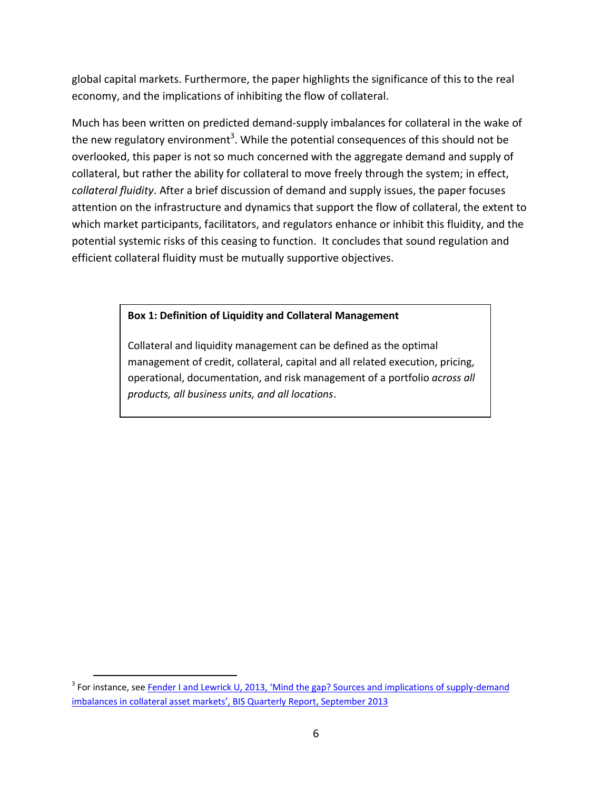global capital markets. Furthermore, the paper highlights the significance of this to the real economy, and the implications of inhibiting the flow of collateral.

Much has been written on predicted demand-supply imbalances for collateral in the wake of the new regulatory environment<sup>3</sup>. While the potential consequences of this should not be overlooked, this paper is not so much concerned with the aggregate demand and supply of collateral, but rather the ability for collateral to move freely through the system; in effect, *collateral fluidity*. After a brief discussion of demand and supply issues, the paper focuses attention on the infrastructure and dynamics that support the flow of collateral, the extent to which market participants, facilitators, and regulators enhance or inhibit this fluidity, and the potential systemic risks of this ceasing to function. It concludes that sound regulation and efficient collateral fluidity must be mutually supportive objectives.

#### **Box 1: Definition of Liquidity and Collateral Management**

Collateral and liquidity management can be defined as the optimal management of credit, collateral, capital and all related execution, pricing, operational, documentation, and risk management of a portfolio *across all products, all business units, and all locations*.

 $\overline{a}$ 

<sup>&</sup>lt;sup>3</sup> For instance, see **Fender I and Lewrick U, 2013, 'Mind the gap? Sources and implications of supply-demand** [imbalances in collateral asset markets', BIS Quarterly Report, September 2013](http://www.bis.org/publ/qtrpdf/r_qt1309h.pdf)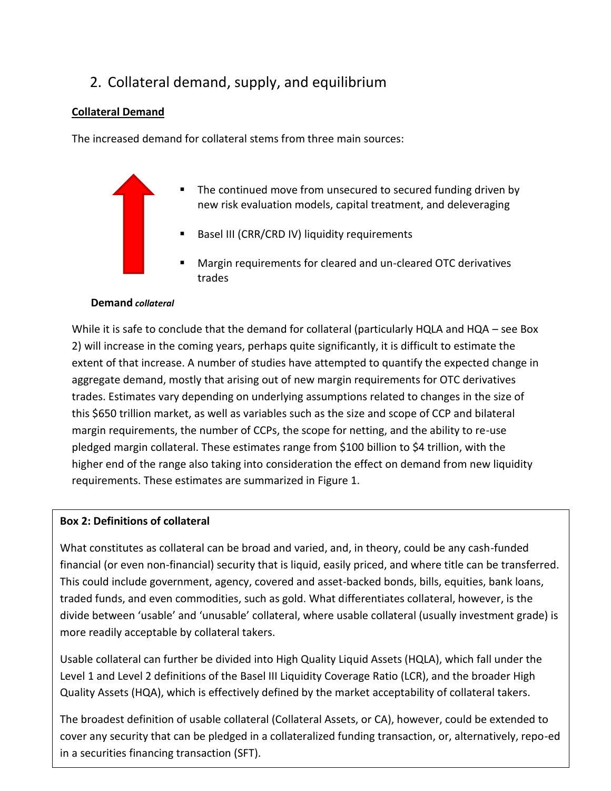## 2. Collateral demand, supply, and equilibrium

### **Collateral Demand**

The increased demand for collateral stems from three main sources:

- The continued move from unsecured to secured funding driven by new risk evaluation models, capital treatment, and deleveraging
	- Basel III (CRR/CRD IV) liquidity requirements
	- Margin requirements for cleared and un-cleared OTC derivatives trades

#### **Demand** *collateral*

While it is safe to conclude that the demand for collateral (particularly HQLA and HQA – see Box 2) will increase in the coming years, perhaps quite significantly, it is difficult to estimate the extent of that increase. A number of studies have attempted to quantify the expected change in aggregate demand, mostly that arising out of new margin requirements for OTC derivatives trades. Estimates vary depending on underlying assumptions related to changes in the size of this \$650 trillion market, as well as variables such as the size and scope of CCP and bilateral margin requirements, the number of CCPs, the scope for netting, and the ability to re-use pledged margin collateral. These estimates range from \$100 billion to \$4 trillion, with the higher end of the range also taking into consideration the effect on demand from new liquidity requirements. These estimates are summarized in Figure 1.

### **Box 2: Definitions of collateral**

What constitutes as collateral can be broad and varied, and, in theory, could be any cash-funded financial (or even non-financial) security that is liquid, easily priced, and where title can be transferred. This could include government, agency, covered and asset-backed bonds, bills, equities, bank loans, traded funds, and even commodities, such as gold. What differentiates collateral, however, is the divide between 'usable' and 'unusable' collateral, where usable collateral (usually investment grade) is more readily acceptable by collateral takers.

Usable collateral can further be divided into High Quality Liquid Assets (HQLA), which fall under the Level 1 and Level 2 definitions of the Basel III Liquidity Coverage Ratio (LCR), and the broader High Quality Assets (HQA), which is effectively defined by the market acceptability of collateral takers.

cover any security that can be pledged in a collateralized funding transaction, or, alternatively, repo-ed The broadest definition of usable collateral (Collateral Assets, or CA), however, could be extended to in a securities financing transaction (SFT).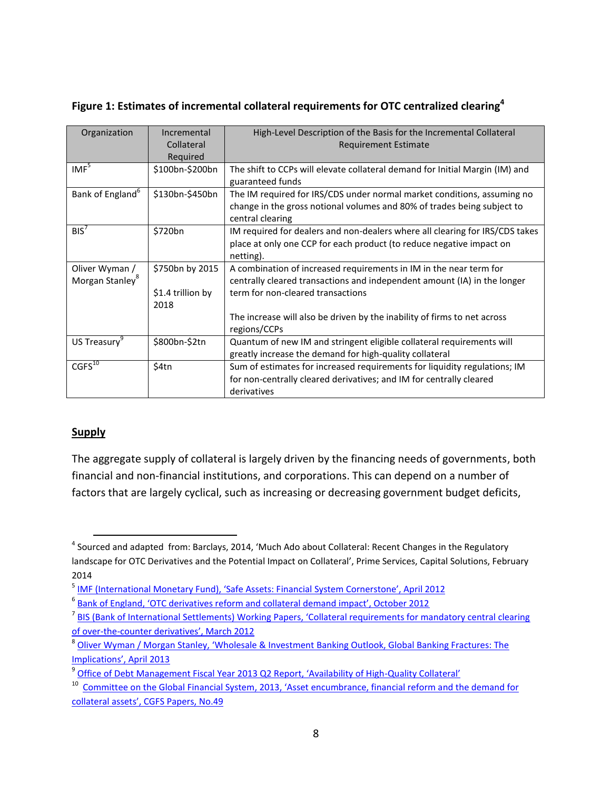| Organization                                  | Incremental<br>Collateral<br>Required | High-Level Description of the Basis for the Incremental Collateral<br><b>Requirement Estimate</b>                                                                      |
|-----------------------------------------------|---------------------------------------|------------------------------------------------------------------------------------------------------------------------------------------------------------------------|
| IMF <sup>5</sup>                              | \$100bn-\$200bn                       | The shift to CCPs will elevate collateral demand for Initial Margin (IM) and<br>guaranteed funds                                                                       |
| Bank of England <sup>6</sup>                  | \$130bn-\$450bn                       | The IM required for IRS/CDS under normal market conditions, assuming no<br>change in the gross notional volumes and 80% of trades being subject to<br>central clearing |
| $BIS^7$                                       | \$720bn                               | IM required for dealers and non-dealers where all clearing for IRS/CDS takes<br>place at only one CCP for each product (to reduce negative impact on<br>netting).      |
| Oliver Wyman /<br>Morgan Stanley <sup>8</sup> | \$750bn by 2015                       | A combination of increased requirements in IM in the near term for<br>centrally cleared transactions and independent amount (IA) in the longer                         |
|                                               | \$1.4 trillion by<br>2018             | term for non-cleared transactions                                                                                                                                      |
|                                               |                                       | The increase will also be driven by the inability of firms to net across<br>regions/CCPs                                                                               |
| US Treasury <sup>9</sup>                      | \$800bn-\$2tn                         | Quantum of new IM and stringent eligible collateral requirements will<br>greatly increase the demand for high-quality collateral                                       |
| $CGFS^{10}$                                   | \$4tn                                 | Sum of estimates for increased requirements for liquidity regulations; IM<br>for non-centrally cleared derivatives; and IM for centrally cleared<br>derivatives        |

### **Figure 1: Estimates of incremental collateral requirements for OTC centralized clearing<sup>4</sup>**

#### **Supply**

The aggregate supply of collateral is largely driven by the financing needs of governments, both financial and non-financial institutions, and corporations. This can depend on a number of factors that are largely cyclical, such as increasing or decreasing government budget deficits,

 $\overline{a}$ <sup>4</sup> Sourced and adapted from: Barclays, 2014, 'Much Ado about Collateral: Recent Changes in the Regulatory landscape for OTC Derivatives and the Potential Impact on Collateral', Prime Services, Capital Solutions, February 2014

<sup>&</sup>lt;sup>5</sup> [IMF \(International Monetary Fund\), 'Safe Assets: Financial System Cornerstone', April 2012](https://www.imf.org/external/pubs/ft/gfsr/2012/01/pdf/c3.pdf)

<sup>&</sup>lt;sup>6</sup> [Bank of England, 'OTC derivatives reform and collateral demand impact', October 2012](http://www.bankofengland.co.uk/research/Documents/fspapers/fs_paper18.pdf)

<sup>&</sup>lt;sup>7</sup> BIS (Bank of International Settlements) Working Papers, 'Collateral requirements for mandatory central clearing of over-the-[counter derivatives', March 2012](http://www.bis.org/publ/bcbs226.pdf)

<sup>&</sup>lt;sup>8</sup> Oliver Wyman / Morgan Stanley, 'Wholesale & Investment Banking Outlook, Global Banking Fractures: The [Implications', April 2013](http://ftalphaville.ft.com/files/2013/04/Morgan-Stanley-Research-Wholesale-Investment-Banking-Outlook-Global-Banking-Fractures-The-Implications.pdf)

<sup>&</sup>lt;sup>9</sup> [Office of Debt Management Fiscal Year 2013 Q2 Report, 'Availability of High](http://www.treasury.gov/resource-center/data-chart-center/quarterly-refunding/Documents/TBAC_Discussion_Charts_May_2013_r.pdf%20-%20Adobe%20Acrobat%20Pro.pdf)-Quality Collateral'

<sup>&</sup>lt;sup>10</sup> Committee on the Global Financial System, 2013, 'Asset encumbrance, financial reform and the demand for [collateral assets', CGFS Papers, No.49](http://www.bis.org/publ/cgfs49.pdf)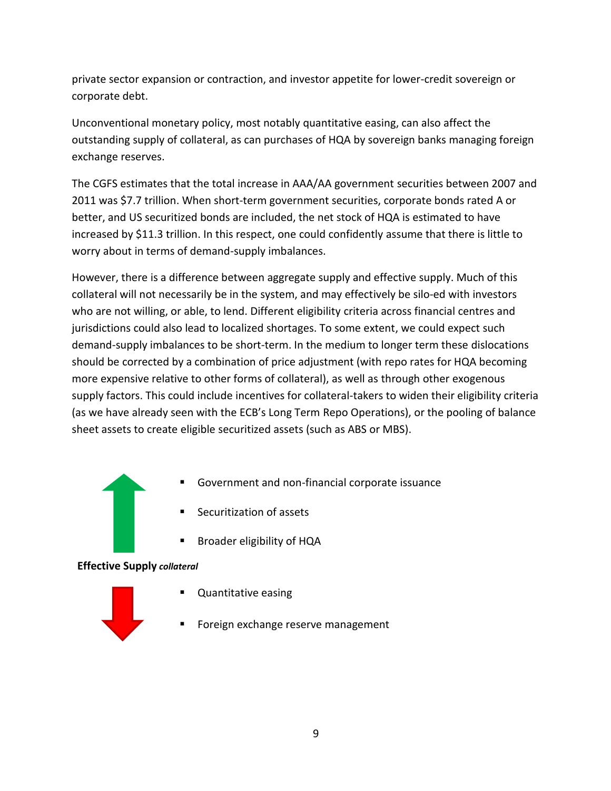private sector expansion or contraction, and investor appetite for lower-credit sovereign or corporate debt.

Unconventional monetary policy, most notably quantitative easing, can also affect the outstanding supply of collateral, as can purchases of HQA by sovereign banks managing foreign exchange reserves.

The CGFS estimates that the total increase in AAA/AA government securities between 2007 and 2011 was \$7.7 trillion. When short-term government securities, corporate bonds rated A or better, and US securitized bonds are included, the net stock of HQA is estimated to have increased by \$11.3 trillion. In this respect, one could confidently assume that there is little to worry about in terms of demand-supply imbalances.

However, there is a difference between aggregate supply and effective supply. Much of this collateral will not necessarily be in the system, and may effectively be silo-ed with investors who are not willing, or able, to lend. Different eligibility criteria across financial centres and jurisdictions could also lead to localized shortages. To some extent, we could expect such demand-supply imbalances to be short-term. In the medium to longer term these dislocations should be corrected by a combination of price adjustment (with repo rates for HQA becoming more expensive relative to other forms of collateral), as well as through other exogenous supply factors. This could include incentives for collateral-takers to widen their eligibility criteria (as we have already seen with the ECB's Long Term Repo Operations), or the pooling of balance sheet assets to create eligible securitized assets (such as ABS or MBS).

- Government and non-financial corporate issuance
- Securitization of assets
- **Broader eligibility of HQA**

**Effective Supply** *collateral*



- **Quantitative easing**
- **Foreign exchange reserve management**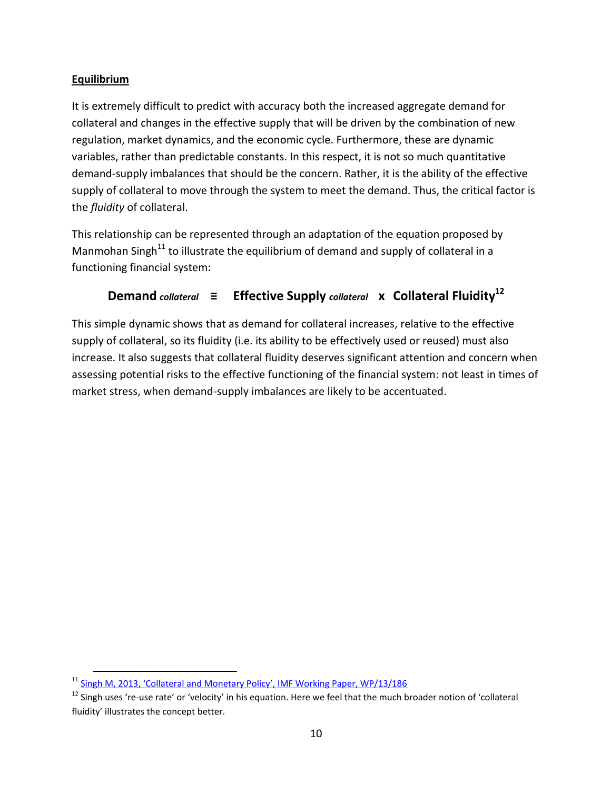### **Equilibrium**

 $\overline{a}$ 

It is extremely difficult to predict with accuracy both the increased aggregate demand for collateral and changes in the effective supply that will be driven by the combination of new regulation, market dynamics, and the economic cycle. Furthermore, these are dynamic variables, rather than predictable constants. In this respect, it is not so much quantitative demand-supply imbalances that should be the concern. Rather, it is the ability of the effective supply of collateral to move through the system to meet the demand. Thus, the critical factor is the *fluidity* of collateral.

This relationship can be represented through an adaptation of the equation proposed by Manmohan Singh $11$  to illustrate the equilibrium of demand and supply of collateral in a functioning financial system:

### **Demand** *collateral*  $\equiv$  **Effective Supply** *collateral* **x** Collateral Fluidity<sup>12</sup>

This simple dynamic shows that as demand for collateral increases, relative to the effective supply of collateral, so its fluidity (i.e. its ability to be effectively used or reused) must also increase. It also suggests that collateral fluidity deserves significant attention and concern when assessing potential risks to the effective functioning of the financial system: not least in times of market stress, when demand-supply imbalances are likely to be accentuated.

<sup>&</sup>lt;sup>11</sup> [Singh M, 2013, 'Collateral and Monetary Policy', IMF Working Paper, WP/13/186](http://www.imf.org/external/pubs/ft/wp/2013/wp13186.pdf)

<sup>&</sup>lt;sup>12</sup> Singh uses 're-use rate' or 'velocity' in his equation. Here we feel that the much broader notion of 'collateral fluidity' illustrates the concept better.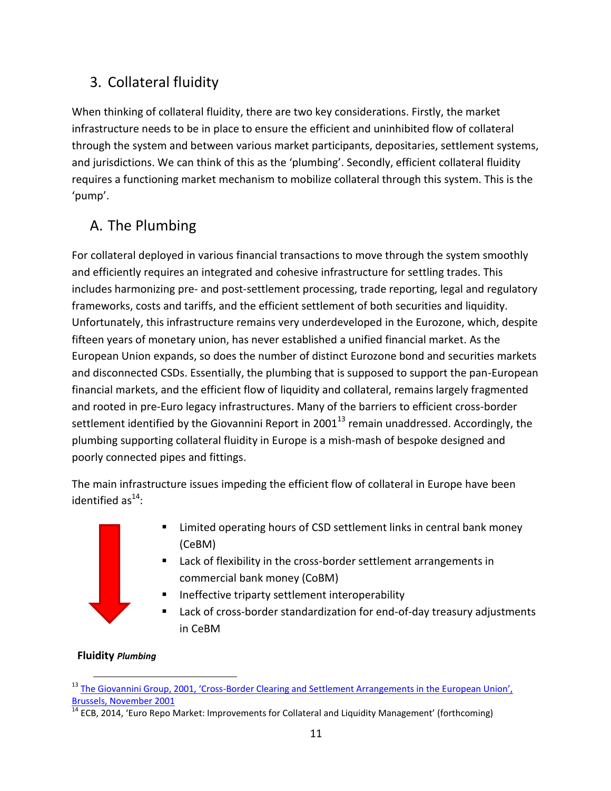## 3. Collateral fluidity

When thinking of collateral fluidity, there are two key considerations. Firstly, the market infrastructure needs to be in place to ensure the efficient and uninhibited flow of collateral through the system and between various market participants, depositaries, settlement systems, and jurisdictions. We can think of this as the 'plumbing'. Secondly, efficient collateral fluidity requires a functioning market mechanism to mobilize collateral through this system. This is the 'pump'.

## A. The Plumbing

For collateral deployed in various financial transactions to move through the system smoothly and efficiently requires an integrated and cohesive infrastructure for settling trades. This includes harmonizing pre- and post-settlement processing, trade reporting, legal and regulatory frameworks, costs and tariffs, and the efficient settlement of both securities and liquidity. Unfortunately, this infrastructure remains very underdeveloped in the Eurozone, which, despite fifteen years of monetary union, has never established a unified financial market. As the European Union expands, so does the number of distinct Eurozone bond and securities markets and disconnected CSDs. Essentially, the plumbing that is supposed to support the pan-European financial markets, and the efficient flow of liquidity and collateral, remains largely fragmented and rooted in pre-Euro legacy infrastructures. Many of the barriers to efficient cross-border settlement identified by the Giovannini Report in 2001 $^{13}$  remain unaddressed. Accordingly, the plumbing supporting collateral fluidity in Europe is a mish-mash of bespoke designed and poorly connected pipes and fittings.

The main infrastructure issues impeding the efficient flow of collateral in Europe have been identified as $^{14}$ :

- 
- Limited operating hours of CSD settlement links in central bank money (CeBM)
- Lack of flexibility in the cross-border settlement arrangements in commercial bank money (CoBM)
- Ineffective triparty settlement interoperability
- Lack of cross-border standardization for end-of-day treasury adjustments in CeBM

### **Fluidity** *Plumbing*

 $\overline{a}$ <sup>13</sup> The Giovannini Group, 2001, 'Cross-Border Clearing and Settlement Arrangements in the European Union', [Brussels, November 2001](http://ec.europa.eu/internal_market/financial-markets/docs/clearing/first_giovannini_report_en.pdf)

**<sup>14</sup> ECB, 2014, 'Euro Repo Market: Improvements for Collateral and Liquidity Management' (forthcoming)**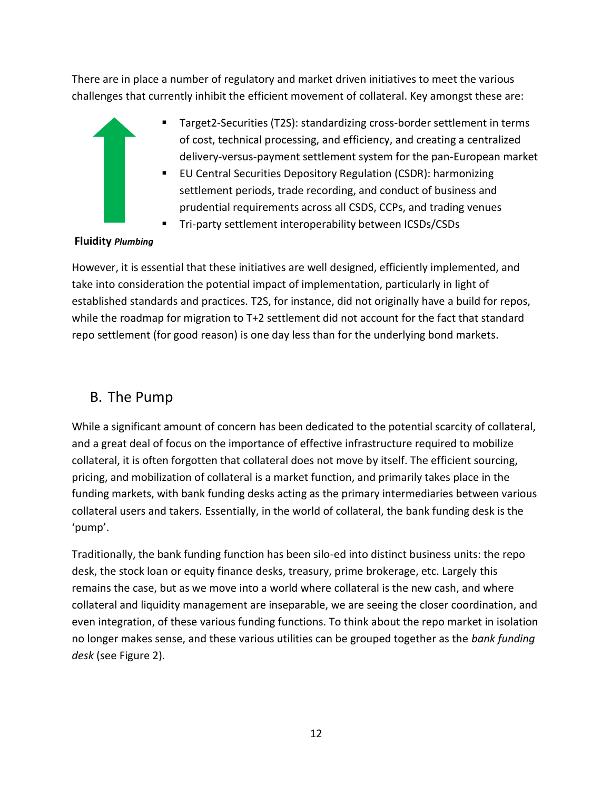There are in place a number of regulatory and market driven initiatives to meet the various challenges that currently inhibit the efficient movement of collateral. Key amongst these are:

- Target2-Securities (T2S): standardizing cross-border settlement in terms of cost, technical processing, and efficiency, and creating a centralized delivery-versus-payment settlement system for the pan-European market
	- EU Central Securities Depository Regulation (CSDR): harmonizing settlement periods, trade recording, and conduct of business and prudential requirements across all CSDS, CCPs, and trading venues
	- Tri-party settlement interoperability between ICSDs/CSDs

### **Fluidity** *Plumbing*

However, it is essential that these initiatives are well designed, efficiently implemented, and take into consideration the potential impact of implementation, particularly in light of established standards and practices. T2S, for instance, did not originally have a build for repos, while the roadmap for migration to T+2 settlement did not account for the fact that standard repo settlement (for good reason) is one day less than for the underlying bond markets.

### B. The Pump

While a significant amount of concern has been dedicated to the potential scarcity of collateral, and a great deal of focus on the importance of effective infrastructure required to mobilize collateral, it is often forgotten that collateral does not move by itself. The efficient sourcing, pricing, and mobilization of collateral is a market function, and primarily takes place in the funding markets, with bank funding desks acting as the primary intermediaries between various collateral users and takers. Essentially, in the world of collateral, the bank funding desk is the 'pump'.

Traditionally, the bank funding function has been silo-ed into distinct business units: the repo desk, the stock loan or equity finance desks, treasury, prime brokerage, etc. Largely this remains the case, but as we move into a world where collateral is the new cash, and where collateral and liquidity management are inseparable, we are seeing the closer coordination, and even integration, of these various funding functions. To think about the repo market in isolation no longer makes sense, and these various utilities can be grouped together as the *bank funding desk* (see Figure 2).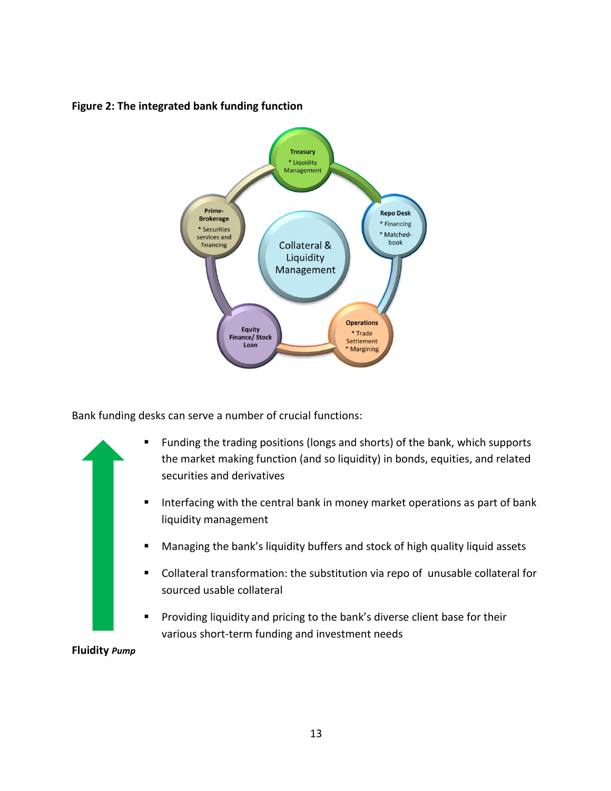



Bank funding desks can serve a number of crucial functions:



13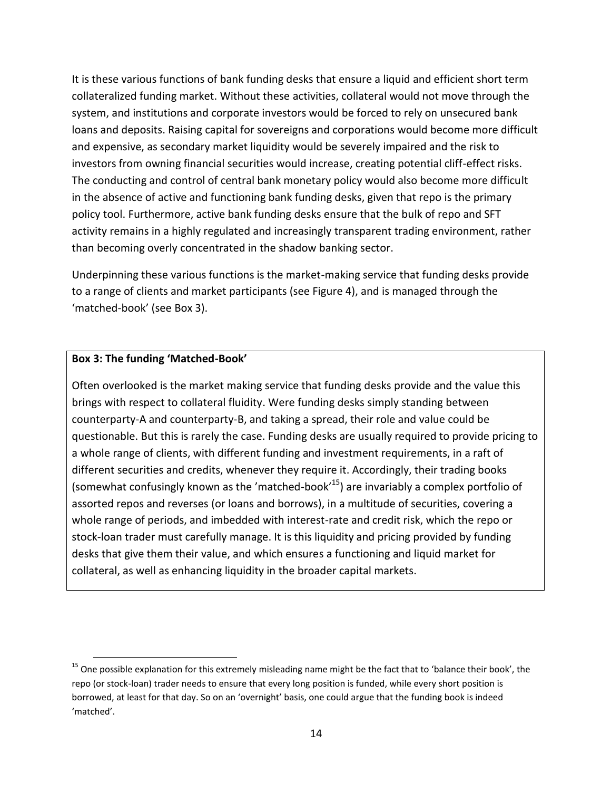It is these various functions of bank funding desks that ensure a liquid and efficient short term collateralized funding market. Without these activities, collateral would not move through the system, and institutions and corporate investors would be forced to rely on unsecured bank loans and deposits. Raising capital for sovereigns and corporations would become more difficult and expensive, as secondary market liquidity would be severely impaired and the risk to investors from owning financial securities would increase, creating potential cliff-effect risks. The conducting and control of central bank monetary policy would also become more difficult in the absence of active and functioning bank funding desks, given that repo is the primary policy tool. Furthermore, active bank funding desks ensure that the bulk of repo and SFT activity remains in a highly regulated and increasingly transparent trading environment, rather than becoming overly concentrated in the shadow banking sector.

Underpinning these various functions is the market-making service that funding desks provide to a range of clients and market participants (see Figure 4), and is managed through the 'matched-book' (see Box 3).

#### **Box 3: The funding 'Matched-Book'**

 $\overline{a}$ 

Often overlooked is the market making service that funding desks provide and the value this brings with respect to collateral fluidity. Were funding desks simply standing between counterparty-A and counterparty-B, and taking a spread, their role and value could be questionable. But this is rarely the case. Funding desks are usually required to provide pricing to a whole range of clients, with different funding and investment requirements, in a raft of different securities and credits, whenever they require it. Accordingly, their trading books (somewhat confusingly known as the 'matched-book'<sup>15</sup>) are invariably a complex portfolio of assorted repos and reverses (or loans and borrows), in a multitude of securities, covering a whole range of periods, and imbedded with interest-rate and credit risk, which the repo or stock-loan trader must carefully manage. It is this liquidity and pricing provided by funding desks that give them their value, and which ensures a functioning and liquid market for collateral, as well as enhancing liquidity in the broader capital markets.

<sup>&</sup>lt;sup>15</sup> One possible explanation for this extremely misleading name might be the fact that to 'balance their book', the repo (or stock-loan) trader needs to ensure that every long position is funded, while every short position is borrowed, at least for that day. So on an 'overnight' basis, one could argue that the funding book is indeed 'matched'.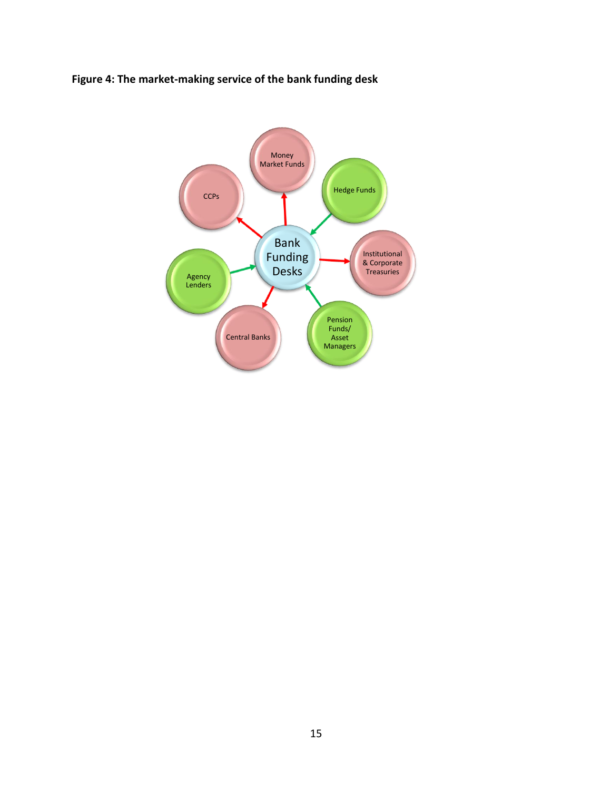### **Figure 4: The market-making service of the bank funding desk**

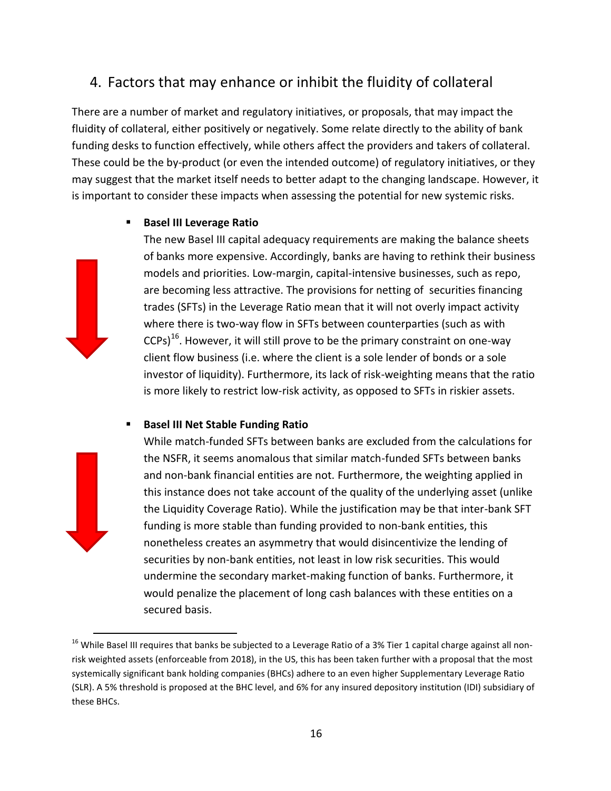### 4. Factors that may enhance or inhibit the fluidity of collateral

There are a number of market and regulatory initiatives, or proposals, that may impact the fluidity of collateral, either positively or negatively. Some relate directly to the ability of bank funding desks to function effectively, while others affect the providers and takers of collateral. These could be the by-product (or even the intended outcome) of regulatory initiatives, or they may suggest that the market itself needs to better adapt to the changing landscape. However, it is important to consider these impacts when assessing the potential for new systemic risks.

### **Basel III Leverage Ratio**

The new Basel III capital adequacy requirements are making the balance sheets of banks more expensive. Accordingly, banks are having to rethink their business models and priorities. Low-margin, capital-intensive businesses, such as repo, are becoming less attractive. The provisions for netting of securities financing trades (SFTs) in the Leverage Ratio mean that it will not overly impact activity where there is two-way flow in SFTs between counterparties (such as with  $CCPs)^{16}$ . However, it will still prove to be the primary constraint on one-way client flow business (i.e. where the client is a sole lender of bonds or a sole investor of liquidity). Furthermore, its lack of risk-weighting means that the ratio is more likely to restrict low-risk activity, as opposed to SFTs in riskier assets.

### **Basel III Net Stable Funding Ratio**

 $\overline{a}$ 

While match-funded SFTs between banks are excluded from the calculations for the NSFR, it seems anomalous that similar match-funded SFTs between banks and non-bank financial entities are not. Furthermore, the weighting applied in this instance does not take account of the quality of the underlying asset (unlike the Liquidity Coverage Ratio). While the justification may be that inter-bank SFT funding is more stable than funding provided to non-bank entities, this nonetheless creates an asymmetry that would disincentivize the lending of securities by non-bank entities, not least in low risk securities. This would undermine the secondary market-making function of banks. Furthermore, it would penalize the placement of long cash balances with these entities on a secured basis.

<sup>&</sup>lt;sup>16</sup> While Basel III requires that banks be subjected to a Leverage Ratio of a 3% Tier 1 capital charge against all nonrisk weighted assets (enforceable from 2018), in the US, this has been taken further with a proposal that the most systemically significant bank holding companies (BHCs) adhere to an even higher Supplementary Leverage Ratio (SLR). A 5% threshold is proposed at the BHC level, and 6% for any insured depository institution (IDI) subsidiary of these BHCs.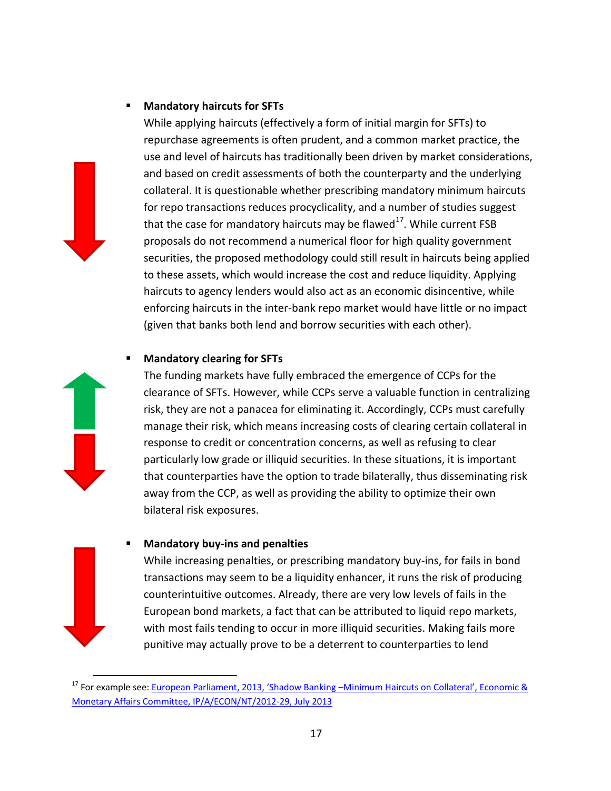### **Mandatory haircuts for SFTs**



 $\overline{a}$ 

While applying haircuts (effectively a form of initial margin for SFTs) to repurchase agreements is often prudent, and a common market practice, the use and level of haircuts has traditionally been driven by market considerations, and based on credit assessments of both the counterparty and the underlying collateral. It is questionable whether prescribing mandatory minimum haircuts for repo transactions reduces procyclicality, and a number of studies suggest that the case for mandatory haircuts may be flawed<sup>17</sup>. While current FSB proposals do not recommend a numerical floor for high quality government securities, the proposed methodology could still result in haircuts being applied to these assets, which would increase the cost and reduce liquidity. Applying haircuts to agency lenders would also act as an economic disincentive, while enforcing haircuts in the inter-bank repo market would have little or no impact (given that banks both lend and borrow securities with each other).

### **Mandatory clearing for SFTs**

The funding markets have fully embraced the emergence of CCPs for the clearance of SFTs. However, while CCPs serve a valuable function in centralizing risk, they are not a panacea for eliminating it. Accordingly, CCPs must carefully manage their risk, which means increasing costs of clearing certain collateral in response to credit or concentration concerns, as well as refusing to clear particularly low grade or illiquid securities. In these situations, it is important that counterparties have the option to trade bilaterally, thus disseminating risk away from the CCP, as well as providing the ability to optimize their own bilateral risk exposures.

#### **Mandatory buy-ins and penalties**

While increasing penalties, or prescribing mandatory buy-ins, for fails in bond transactions may seem to be a liquidity enhancer, it runs the risk of producing counterintuitive outcomes. Already, there are very low levels of fails in the European bond markets, a fact that can be attributed to liquid repo markets, with most fails tending to occur in more illiquid securities. Making fails more punitive may actually prove to be a deterrent to counterparties to lend

<sup>&</sup>lt;sup>17</sup> For example see: European Parliament, 2013, 'Shadow Banking –Minimum Haircuts on Collateral', Economic & [Monetary Affairs Committee, IP/A/ECON/NT/2012-29, July 2013](http://www.europarl.europa.eu/RegData/etudes/note/join/2013/507462/IPOL-ECON_NT(2013)507462_EN.pdf)

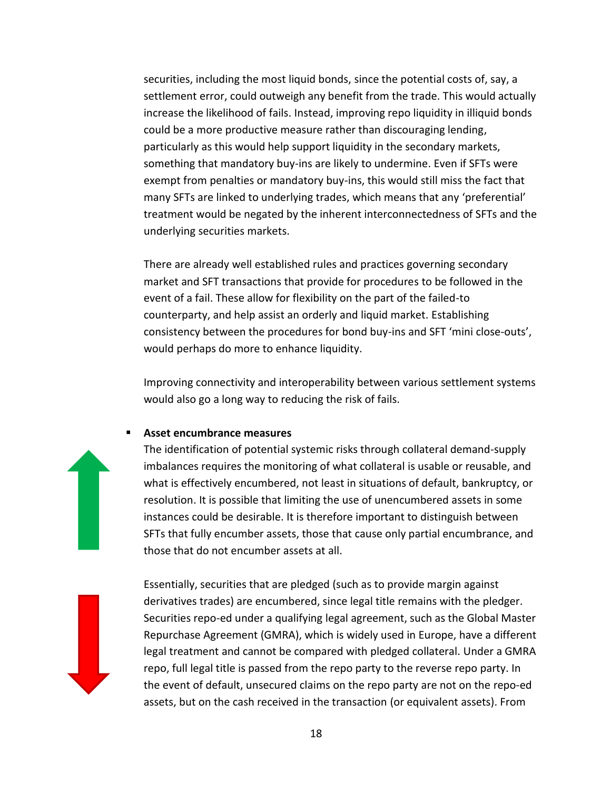securities, including the most liquid bonds, since the potential costs of, say, a settlement error, could outweigh any benefit from the trade. This would actually increase the likelihood of fails. Instead, improving repo liquidity in illiquid bonds could be a more productive measure rather than discouraging lending, particularly as this would help support liquidity in the secondary markets, something that mandatory buy-ins are likely to undermine. Even if SFTs were exempt from penalties or mandatory buy-ins, this would still miss the fact that many SFTs are linked to underlying trades, which means that any 'preferential' treatment would be negated by the inherent interconnectedness of SFTs and the underlying securities markets.

There are already well established rules and practices governing secondary market and SFT transactions that provide for procedures to be followed in the event of a fail. These allow for flexibility on the part of the failed-to counterparty, and help assist an orderly and liquid market. Establishing consistency between the procedures for bond buy-ins and SFT 'mini close-outs', would perhaps do more to enhance liquidity.

Improving connectivity and interoperability between various settlement systems would also go a long way to reducing the risk of fails.

#### **Asset encumbrance measures**

The identification of potential systemic risks through collateral demand-supply imbalances requires the monitoring of what collateral is usable or reusable, and what is effectively encumbered, not least in situations of default, bankruptcy, or resolution. It is possible that limiting the use of unencumbered assets in some instances could be desirable. It is therefore important to distinguish between SFTs that fully encumber assets, those that cause only partial encumbrance, and those that do not encumber assets at all.

Essentially, securities that are pledged (such as to provide margin against derivatives trades) are encumbered, since legal title remains with the pledger. Securities repo-ed under a qualifying legal agreement, such as the Global Master Repurchase Agreement (GMRA), which is widely used in Europe, have a different legal treatment and cannot be compared with pledged collateral. Under a GMRA repo, full legal title is passed from the repo party to the reverse repo party. In the event of default, unsecured claims on the repo party are not on the repo-ed assets, but on the cash received in the transaction (or equivalent assets). From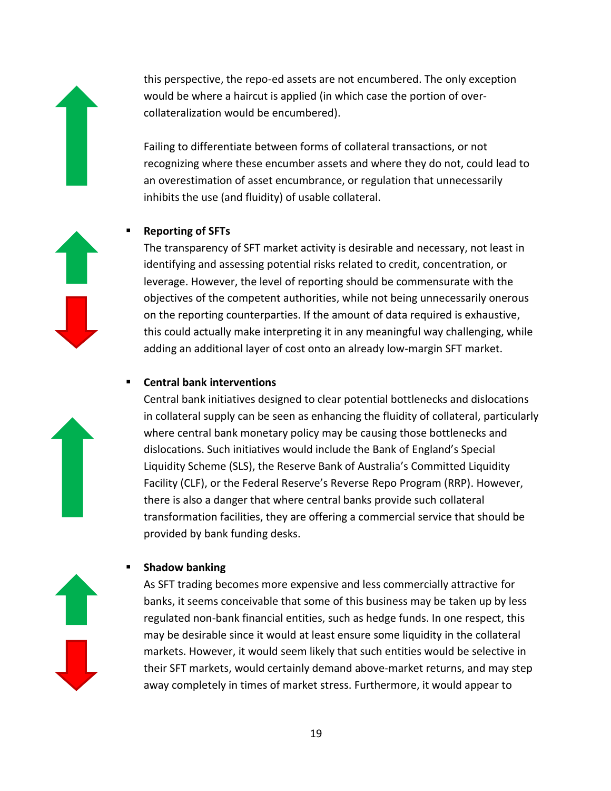this perspective, the repo-ed assets are not encumbered. The only exception would be where a haircut is applied (in which case the portion of overcollateralization would be encumbered).

Failing to differentiate between forms of collateral transactions, or not recognizing where these encumber assets and where they do not, could lead to an overestimation of asset encumbrance, or regulation that unnecessarily inhibits the use (and fluidity) of usable collateral.

### **Reporting of SFTs**

The transparency of SFT market activity is desirable and necessary, not least in identifying and assessing potential risks related to credit, concentration, or leverage. However, the level of reporting should be commensurate with the objectives of the competent authorities, while not being unnecessarily onerous on the reporting counterparties. If the amount of data required is exhaustive, this could actually make interpreting it in any meaningful way challenging, while adding an additional layer of cost onto an already low-margin SFT market.

### **Central bank interventions**

Central bank initiatives designed to clear potential bottlenecks and dislocations in collateral supply can be seen as enhancing the fluidity of collateral, particularly where central bank monetary policy may be causing those bottlenecks and dislocations. Such initiatives would include the Bank of England's Special Liquidity Scheme (SLS), the Reserve Bank of Australia's Committed Liquidity Facility (CLF), or the Federal Reserve's Reverse Repo Program (RRP). However, there is also a danger that where central banks provide such collateral transformation facilities, they are offering a commercial service that should be provided by bank funding desks.

### **Shadow banking**

As SFT trading becomes more expensive and less commercially attractive for banks, it seems conceivable that some of this business may be taken up by less regulated non-bank financial entities, such as hedge funds. In one respect, this may be desirable since it would at least ensure some liquidity in the collateral markets. However, it would seem likely that such entities would be selective in their SFT markets, would certainly demand above-market returns, and may step away completely in times of market stress. Furthermore, it would appear to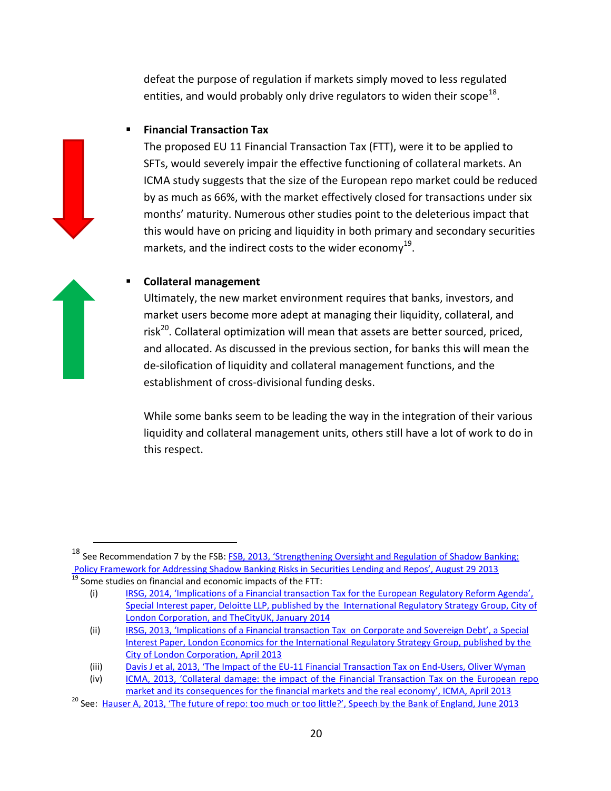defeat the purpose of regulation if markets simply moved to less regulated entities, and would probably only drive regulators to widen their scope<sup>18</sup>.

### **Financial Transaction Tax**

The proposed EU 11 Financial Transaction Tax (FTT), were it to be applied to SFTs, would severely impair the effective functioning of collateral markets. An ICMA study suggests that the size of the European repo market could be reduced by as much as 66%, with the market effectively closed for transactions under six months' maturity. Numerous other studies point to the deleterious impact that this would have on pricing and liquidity in both primary and secondary securities markets, and the indirect costs to the wider economy<sup>19</sup>.

#### **Collateral management**

 $\overline{a}$ 

Ultimately, the new market environment requires that banks, investors, and market users become more adept at managing their liquidity, collateral, and risk<sup>20</sup>. Collateral optimization will mean that assets are better sourced, priced, and allocated. As discussed in the previous section, for banks this will mean the de-silofication of liquidity and collateral management functions, and the establishment of cross-divisional funding desks.

While some banks seem to be leading the way in the integration of their various liquidity and collateral management units, others still have a lot of work to do in this respect.

<sup>&</sup>lt;sup>18</sup> See Recommendation 7 by the FSB: FSB, 2013, 'Strengthening Oversight and Regulation of Shadow Banking: [Policy Framework for Addressing Shadow Banking Risks in Securities Lending and Repos', August 29 2013](https://www.financialstabilityboard.org/publications/r_130829c.pdf)  $\frac{19}{19}$  Some studies on financial and economic impacts of the FTT:

<sup>(</sup>i) IRSG, 2014, 'Implications of a Financial transaction Tax for the European Regulatory Reform Agenda', [Special Interest paper, Deloitte LLP, published by the International Regulatory Strategy Group, City of](http://www.cityoflondon.gov.uk/business/economic-research-and-information/research-publications/Documents/Research-2014/Implications%20of%20a%20Financial%20Transactions%20Tax%20on%20the%20Regulatory%20Reform%20Agenda.pdf)  [London Corporation, and TheCityUK, January 2014](http://www.cityoflondon.gov.uk/business/economic-research-and-information/research-publications/Documents/Research-2014/Implications%20of%20a%20Financial%20Transactions%20Tax%20on%20the%20Regulatory%20Reform%20Agenda.pdf)

<sup>(</sup>ii) IRSG, 2013, 'Implications [of a Financial transaction Tax on Corporate and Sovereign](http://www.cityoflondon.gov.uk/business/economic-research-and-information/research-publications/Documents/research-2013/Impact-of-FTT-on-corporate-and-sovereign-debt-Final-PDF.pdf) Debt', a Special [Interest Paper, London Economics for the International Regulatory Strategy Group, published by the](http://www.cityoflondon.gov.uk/business/economic-research-and-information/research-publications/Documents/research-2013/Impact-of-FTT-on-corporate-and-sovereign-debt-Final-PDF.pdf)  [City of London Corporation, April 2013](http://www.cityoflondon.gov.uk/business/economic-research-and-information/research-publications/Documents/research-2013/Impact-of-FTT-on-corporate-and-sovereign-debt-Final-PDF.pdf)

<sup>(</sup>iii) Davis J et al, 2013, 'The Impact of the EU[-11 Financial Transaction Tax on End-Users, Oliver Wyman](http://www.afme.eu/WorkArea/DownloadAsset.aspx?id=9930)

<sup>(</sup>iv) [ICMA, 2013, 'Collateral damage: the impact of the Financial Transaction Tax on the European repo](http://www.icmagroup.org/assets/documents/Regulatory/Repo/Collateral-damage---the-impact-of-the-FTT-on-the-European-repo-market-April-2013.pdf)  [market and its consequences for the financial markets and the real economy', ICMA, April 2013](http://www.icmagroup.org/assets/documents/Regulatory/Repo/Collateral-damage---the-impact-of-the-FTT-on-the-European-repo-market-April-2013.pdf)

<sup>&</sup>lt;sup>20</sup> See: [Hauser A, 2013, 'The future of repo: too much or too little?', Speech by the Bank of England, June 2013](http://www.bankofengland.co.uk/publications/Documents/speeches/2013/speech665.pdf)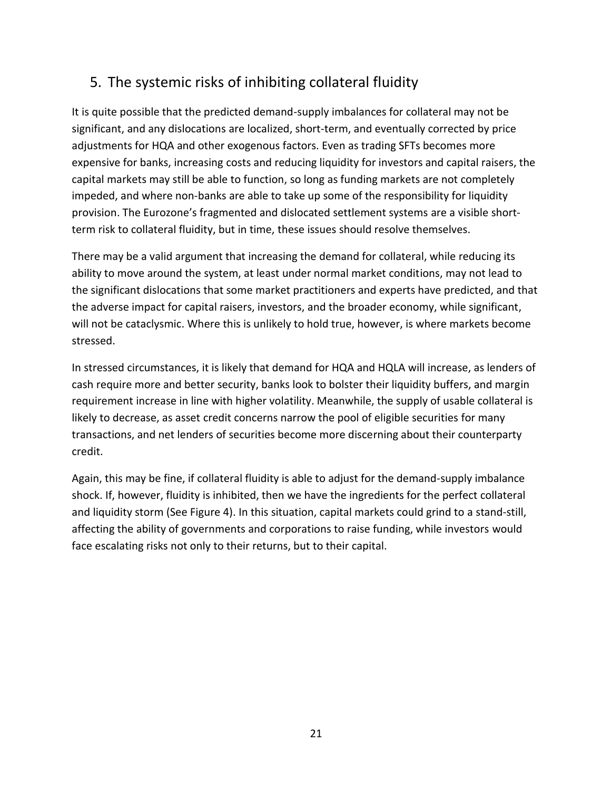## 5. The systemic risks of inhibiting collateral fluidity

It is quite possible that the predicted demand-supply imbalances for collateral may not be significant, and any dislocations are localized, short-term, and eventually corrected by price adjustments for HQA and other exogenous factors. Even as trading SFTs becomes more expensive for banks, increasing costs and reducing liquidity for investors and capital raisers, the capital markets may still be able to function, so long as funding markets are not completely impeded, and where non-banks are able to take up some of the responsibility for liquidity provision. The Eurozone's fragmented and dislocated settlement systems are a visible shortterm risk to collateral fluidity, but in time, these issues should resolve themselves.

There may be a valid argument that increasing the demand for collateral, while reducing its ability to move around the system, at least under normal market conditions, may not lead to the significant dislocations that some market practitioners and experts have predicted, and that the adverse impact for capital raisers, investors, and the broader economy, while significant, will not be cataclysmic. Where this is unlikely to hold true, however, is where markets become stressed.

In stressed circumstances, it is likely that demand for HQA and HQLA will increase, as lenders of cash require more and better security, banks look to bolster their liquidity buffers, and margin requirement increase in line with higher volatility. Meanwhile, the supply of usable collateral is likely to decrease, as asset credit concerns narrow the pool of eligible securities for many transactions, and net lenders of securities become more discerning about their counterparty credit.

Again, this may be fine, if collateral fluidity is able to adjust for the demand-supply imbalance shock. If, however, fluidity is inhibited, then we have the ingredients for the perfect collateral and liquidity storm (See Figure 4). In this situation, capital markets could grind to a stand-still, affecting the ability of governments and corporations to raise funding, while investors would face escalating risks not only to their returns, but to their capital.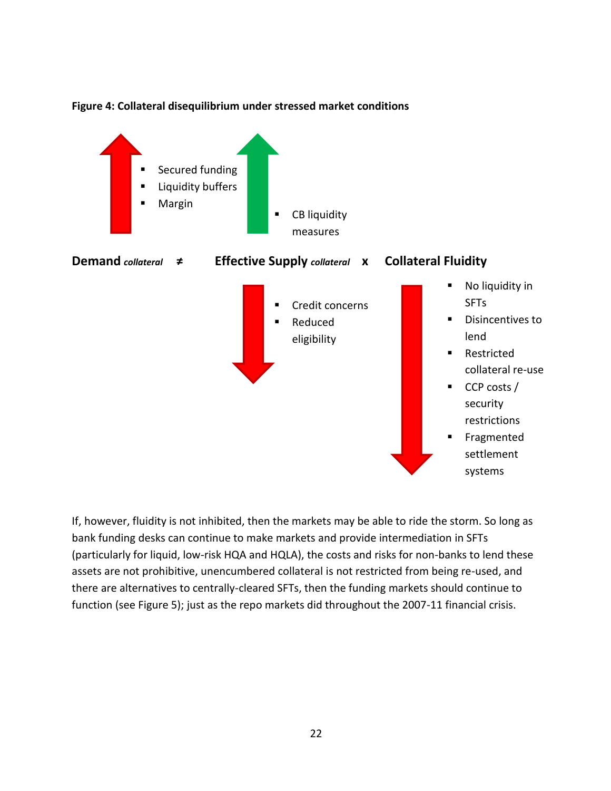

### **Figure 4: Collateral disequilibrium under stressed market conditions**

If, however, fluidity is not inhibited, then the markets may be able to ride the storm. So long as bank funding desks can continue to make markets and provide intermediation in SFTs (particularly for liquid, low-risk HQA and HQLA), the costs and risks for non-banks to lend these assets are not prohibitive, unencumbered collateral is not restricted from being re-used, and there are alternatives to centrally-cleared SFTs, then the funding markets should continue to function (see Figure 5); just as the repo markets did throughout the 2007-11 financial crisis.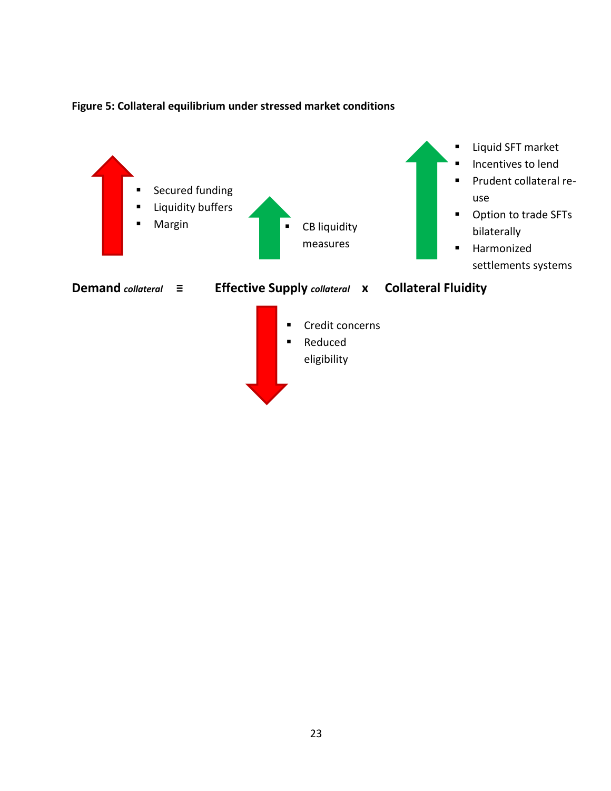

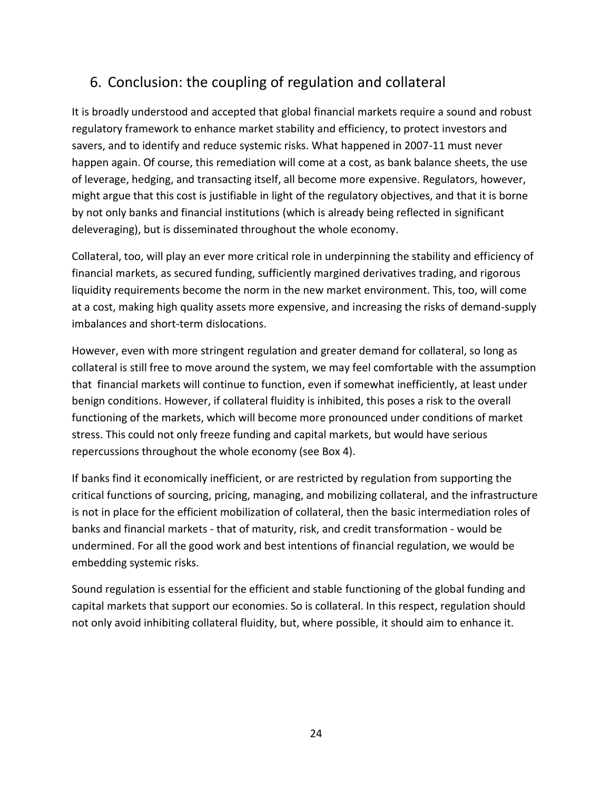## 6. Conclusion: the coupling of regulation and collateral

It is broadly understood and accepted that global financial markets require a sound and robust regulatory framework to enhance market stability and efficiency, to protect investors and savers, and to identify and reduce systemic risks. What happened in 2007-11 must never happen again. Of course, this remediation will come at a cost, as bank balance sheets, the use of leverage, hedging, and transacting itself, all become more expensive. Regulators, however, might argue that this cost is justifiable in light of the regulatory objectives, and that it is borne by not only banks and financial institutions (which is already being reflected in significant deleveraging), but is disseminated throughout the whole economy.

Collateral, too, will play an ever more critical role in underpinning the stability and efficiency of financial markets, as secured funding, sufficiently margined derivatives trading, and rigorous liquidity requirements become the norm in the new market environment. This, too, will come at a cost, making high quality assets more expensive, and increasing the risks of demand-supply imbalances and short-term dislocations.

However, even with more stringent regulation and greater demand for collateral, so long as collateral is still free to move around the system, we may feel comfortable with the assumption that financial markets will continue to function, even if somewhat inefficiently, at least under benign conditions. However, if collateral fluidity is inhibited, this poses a risk to the overall functioning of the markets, which will become more pronounced under conditions of market stress. This could not only freeze funding and capital markets, but would have serious repercussions throughout the whole economy (see Box 4).

If banks find it economically inefficient, or are restricted by regulation from supporting the critical functions of sourcing, pricing, managing, and mobilizing collateral, and the infrastructure is not in place for the efficient mobilization of collateral, then the basic intermediation roles of banks and financial markets - that of maturity, risk, and credit transformation - would be undermined. For all the good work and best intentions of financial regulation, we would be embedding systemic risks.

Sound regulation is essential for the efficient and stable functioning of the global funding and capital markets that support our economies. So is collateral. In this respect, regulation should not only avoid inhibiting collateral fluidity, but, where possible, it should aim to enhance it.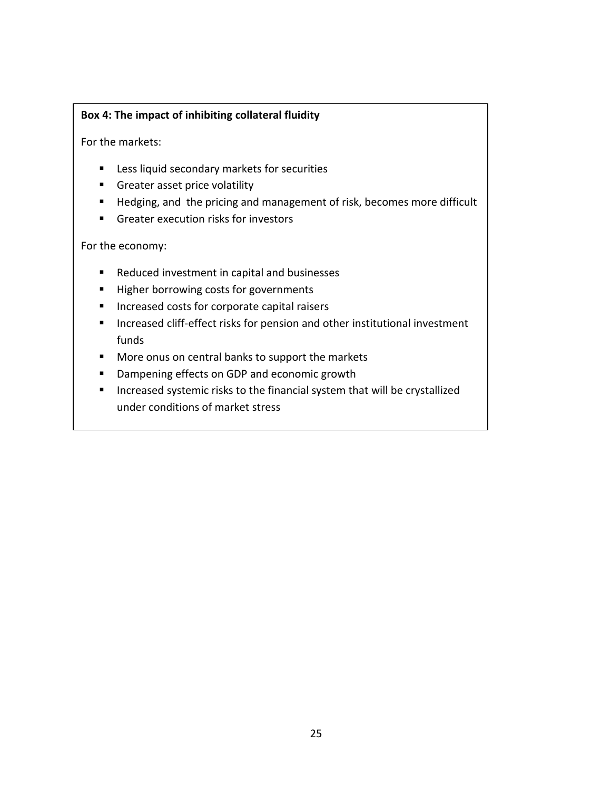### **Box 4: The impact of inhibiting collateral fluidity**

For the markets:

- **EXEC** Less liquid secondary markets for securities
- **Greater asset price volatility**
- Hedging, and the pricing and management of risk, becomes more difficult
- Greater execution risks for investors

For the economy:

- Reduced investment in capital and businesses
- Higher borrowing costs for governments
- **Increased costs for corporate capital raisers**
- **Increased cliff-effect risks for pension and other institutional investment** funds
- **More onus on central banks to support the markets**
- Dampening effects on GDP and economic growth
- **Increased systemic risks to the financial system that will be crystallized** under conditions of market stress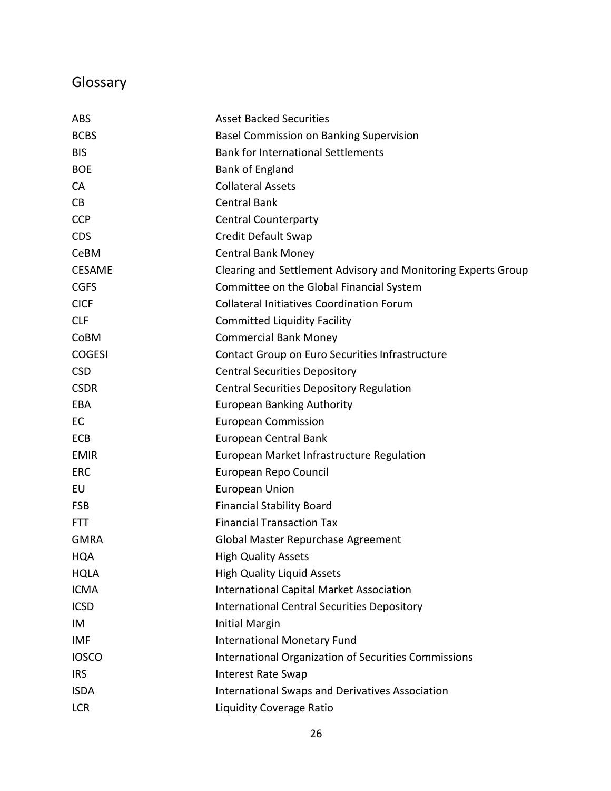# Glossary

| <b>ABS</b>    | <b>Asset Backed Securities</b>                                |
|---------------|---------------------------------------------------------------|
| <b>BCBS</b>   | <b>Basel Commission on Banking Supervision</b>                |
| <b>BIS</b>    | <b>Bank for International Settlements</b>                     |
| <b>BOE</b>    | <b>Bank of England</b>                                        |
| <b>CA</b>     | <b>Collateral Assets</b>                                      |
| CB            | <b>Central Bank</b>                                           |
| <b>CCP</b>    | <b>Central Counterparty</b>                                   |
| <b>CDS</b>    | Credit Default Swap                                           |
| CeBM          | <b>Central Bank Money</b>                                     |
| <b>CESAME</b> | Clearing and Settlement Advisory and Monitoring Experts Group |
| <b>CGFS</b>   | Committee on the Global Financial System                      |
| <b>CICF</b>   | <b>Collateral Initiatives Coordination Forum</b>              |
| <b>CLF</b>    | <b>Committed Liquidity Facility</b>                           |
| CoBM          | <b>Commercial Bank Money</b>                                  |
| <b>COGESI</b> | Contact Group on Euro Securities Infrastructure               |
| <b>CSD</b>    | <b>Central Securities Depository</b>                          |
| <b>CSDR</b>   | <b>Central Securities Depository Regulation</b>               |
| EBA           | <b>European Banking Authority</b>                             |
| EC            | <b>European Commission</b>                                    |
| <b>ECB</b>    | European Central Bank                                         |
| <b>EMIR</b>   | European Market Infrastructure Regulation                     |
| <b>ERC</b>    | European Repo Council                                         |
| EU            | <b>European Union</b>                                         |
| <b>FSB</b>    | <b>Financial Stability Board</b>                              |
| <b>FTT</b>    | <b>Financial Transaction Tax</b>                              |
| <b>GMRA</b>   | Global Master Repurchase Agreement                            |
| <b>HQA</b>    | <b>High Quality Assets</b>                                    |
| <b>HQLA</b>   | <b>High Quality Liquid Assets</b>                             |
| <b>ICMA</b>   | <b>International Capital Market Association</b>               |
| <b>ICSD</b>   | <b>International Central Securities Depository</b>            |
| IM            | <b>Initial Margin</b>                                         |
| <b>IMF</b>    | International Monetary Fund                                   |
| <b>IOSCO</b>  | <b>International Organization of Securities Commissions</b>   |
| <b>IRS</b>    | <b>Interest Rate Swap</b>                                     |
| <b>ISDA</b>   | International Swaps and Derivatives Association               |
| <b>LCR</b>    | <b>Liquidity Coverage Ratio</b>                               |